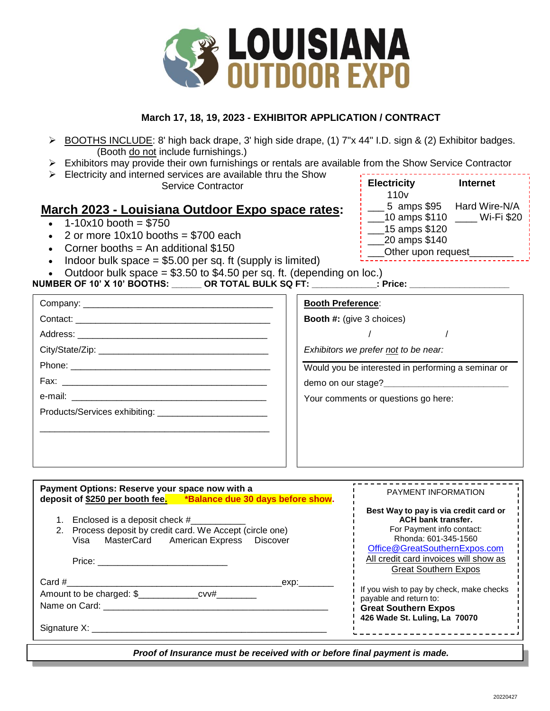

## **March 17, 18, 19, 2023 - EXHIBITOR APPLICATION / CONTRACT**

- ▶ BOOTHS INCLUDE: 8' high back drape, 3' high side drape, (1) 7"x 44" I.D. sign & (2) Exhibitor badges. (Booth do not include furnishings.)
- $\triangleright$  Exhibitors may provide their own furnishings or rentals are available from the Show Service Contractor
- $\triangleright$  Electricity and interned services are available thru the Show Service Contractor

## **March 2023 - Louisiana Outdoor Expo space rates:**

- $\cdot$  1-10x10 booth = \$750
- 2 or more  $10x10$  booths = \$700 each
- Corner booths  $=$  An additional \$150
- Indoor bulk space  $= $5.00$  per sq. ft (supply is limited)
- Outdoor bulk space  $= $3.50$  to  $$4.50$  per sq. ft. (depending on loc.)

### **NUMBER OF 10' X 10' BOOTHS: \_\_\_\_\_\_ OR TOTAL BULK SQ FT: \_\_\_\_\_\_\_\_\_\_\_\_\_: Price: \_\_\_\_\_\_\_\_\_\_\_\_\_\_\_\_\_\_\_\_**

| <b>Electricity</b> | <b>Internet</b> |
|--------------------|-----------------|
| 110 <sub>v</sub>   |                 |
| 5 amps \$95        | Hard Wire-N/A   |
| 10 amps \$110      | Wi-Fi \$20      |
| 15 amps \$120      |                 |
| 20 amps \$140      |                 |
| Other upon request |                 |

| <b>Booth Preference:</b>                           |  |
|----------------------------------------------------|--|
| <b>Booth #:</b> (give 3 choices)                   |  |
|                                                    |  |
| Exhibitors we prefer not to be near:               |  |
| Would you be interested in performing a seminar or |  |
| demo on our stage?<br><u> </u>                     |  |
| Your comments or questions go here:                |  |
|                                                    |  |
|                                                    |  |
|                                                    |  |
|                                                    |  |
|                                                    |  |

| Payment Options: Reserve your space now with a<br>deposit of \$250 per booth fee. *Balance due 30 days before show.                                                                                                                                                                                                                                                    | <b>PAYMENT INFORMATION</b>                                                                                                                                                                                                       |
|------------------------------------------------------------------------------------------------------------------------------------------------------------------------------------------------------------------------------------------------------------------------------------------------------------------------------------------------------------------------|----------------------------------------------------------------------------------------------------------------------------------------------------------------------------------------------------------------------------------|
| Enclosed is a deposit check #<br>Process deposit by credit card. We Accept (circle one)<br>Visa MasterCard American Express Discover<br>Price: the contract of the contract of the contract of the contract of the contract of the contract of the contract of the contract of the contract of the contract of the contract of the contract of the contract of the con | Best Way to pay is via credit card or<br><b>ACH bank transfer.</b><br>For Payment info contact:<br>Rhonda: 601-345-1560<br>Office@GreatSouthernExpos.com<br>All credit card invoices will show as<br><b>Great Southern Expos</b> |
| $Card \#$<br>exp: when<br>Amount to be charged: \$_______________cvv#_________<br>Name on Card:<br>Signature X:                                                                                                                                                                                                                                                        | If you wish to pay by check, make checks<br>payable and return to:<br><b>Great Southern Expos</b><br>426 Wade St. Luling, La 70070                                                                                               |

Proof of Insurance must be received with or before final payment is made.